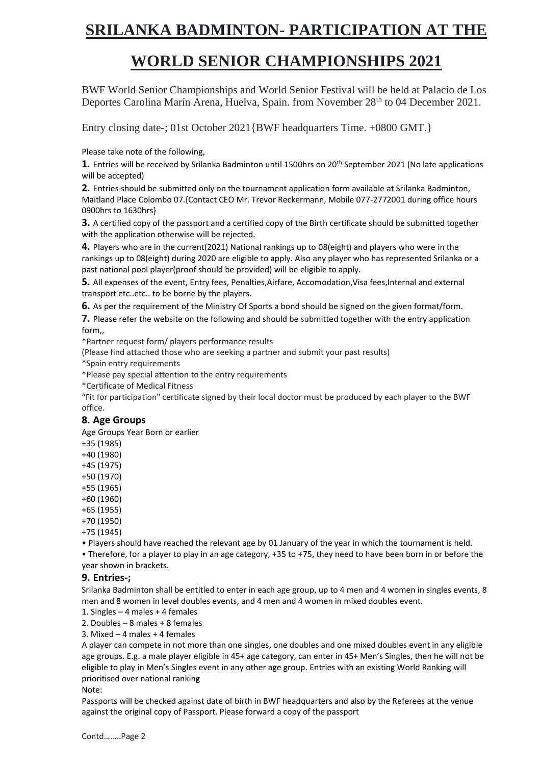# **SRILANKA BADMINTON- PARTICIPATION AT THE**

## **WORLD SENIOR CHAMPIONSHIPS 2021**

BWF World Senior Championships and World Senior Festival will be held at Palacio de Los Deportes Carolina Marín Arena, Huelva, Spain. from November 28<sup>th</sup> to 04 December 2021.

Entry closing date-; 01st October 2021{BWF headquarters Time. +0800 GMT.}

Please take note of the following,

**1.** Entries will be received by Srilanka Badminton until 1500hrs on 20th September 2021 (No late applications will be accepted)

**2.** Entries should be submitted only on the tournament application form available at Srilanka Badminton, Maitland Place Colombo 07.{Contact CEO Mr. Trevor Reckermann, Mobile 077-2772001 during office hours 0900hrs to 1630hrs}

**3.** A certified copy of the passport and a certified copy of the Birth certificate should be submitted together with the application otherwise will be rejected.

**4.** Players who are in the current(2021) National rankings up to 08(eight) and players who were in the rankings up to 08(eight) during 2020 are eligible to apply. Also any player who has represented Srilanka or a past national pool player(proof should be provided) will be eligible to apply.

**5.** All expenses of the event, Entry fees, Penalties,Airfare, Accomodation,Visa fees,Internal and external transport etc..etc.. to be borne by the players.

**6.** As per the requirement of the Ministry Of Sports a bond should be signed on the given format/form.

**7.** Please refer the website on the following and should be submitted together with the entry application form,,

\*Partner request form/ players performance results

(Please find attached those who are seeking a partner and submit your past results)

\*Spain entry requirements

\*Please pay special attention to the entry requirements

\*Certificate of Medical Fitness

"Fit for participation" certificate signed by their local doctor must be produced by each player to the BWF office.

### **8. Age Groups**

Age Groups Year Born or earlier

+35 (1985)

+40 (1980)

+45 (1975)

+50 (1970)

+55 (1965)

+60 (1960)

+65 (1955)

+70 (1950)

+75 (1945)

• Players should have reached the relevant age by 01 January of the year in which the tournament is held. • Therefore, for a player to play in an age category, +35 to +75, they need to have been born in or before the year shown in brackets.

### **9. Entries-;**

Srilanka Badminton shall be entitled to enter in each age group, up to 4 men and 4 women in singles events, 8 men and 8 women in level doubles events, and 4 men and 4 women in mixed doubles event.

1. Singles – 4 males + 4 females

2. Doubles – 8 males + 8 females

3. Mixed – 4 males + 4 females

A player can compete in not more than one singles, one doubles and one mixed doubles event in any eligible age groups. E.g. a male player eligible in 45+ age category, can enter in 45+ Men's Singles, then he will not be eligible to play in Men's Singles event in any other age group. Entries with an existing World Ranking will prioritised over national ranking

#### Note:

Passports will be checked against date of birth in BWF headquarters and also by the Referees at the venue against the original copy of Passport. Please forward a copy of the passport